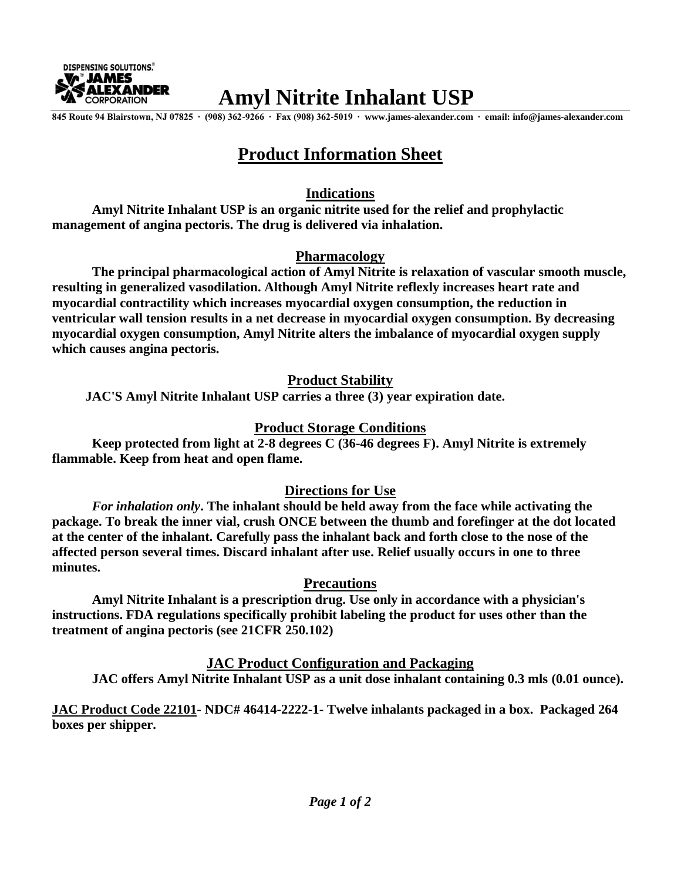

# **Amyl Nitrite Inhalant USP**

**845 Route 94 Blairstown, NJ 07825 ∙ (908) 362-9266 ∙ Fax (908) 362-5019 ∙ [www.james-alexander.com](http://www.james-alexander.com/) ∙ email: [info@james-alexander.com](mailto:info@james-alexander.com)**

# **Product Information Sheet**

#### **Indications**

**Amyl Nitrite Inhalant USP is an organic nitrite used for the relief and prophylactic management of angina pectoris. The drug is delivered via inhalation.**

#### **Pharmacology**

 **The principal pharmacological action of Amyl Nitrite is relaxation of vascular smooth muscle, resulting in generalized vasodilation. Although Amyl Nitrite reflexly increases heart rate and myocardial contractility which increases myocardial oxygen consumption, the reduction in ventricular wall tension results in a net decrease in myocardial oxygen consumption. By decreasing myocardial oxygen consumption, Amyl Nitrite alters the imbalance of myocardial oxygen supply which causes angina pectoris.**

## **Product Stability**

 **JAC'S Amyl Nitrite Inhalant USP carries a three (3) year expiration date.**

# **Product Storage Conditions**

**Keep protected from light at 2-8 degrees C (36-46 degrees F). Amyl Nitrite is extremely flammable. Keep from heat and open flame.**

## **Directions for Use**

*For inhalation only***. The inhalant should be held away from the face while activating the package. To break the inner vial, crush ONCE between the thumb and forefinger at the dot located at the center of the inhalant. Carefully pass the inhalant back and forth close to the nose of the affected person several times. Discard inhalant after use. Relief usually occurs in one to three minutes.**

## **Precautions**

**Amyl Nitrite Inhalant is a prescription drug. Use only in accordance with a physician's instructions. FDA regulations specifically prohibit labeling the product for uses other than the treatment of angina pectoris (see 21CFR 250.102)**

**JAC Product Configuration and Packaging**

**JAC offers Amyl Nitrite Inhalant USP as a unit dose inhalant containing 0.3 mls (0.01 ounce).**

**JAC Product Code 22101- NDC# 46414-2222-1- Twelve inhalants packaged in a box. Packaged 264 boxes per shipper.**